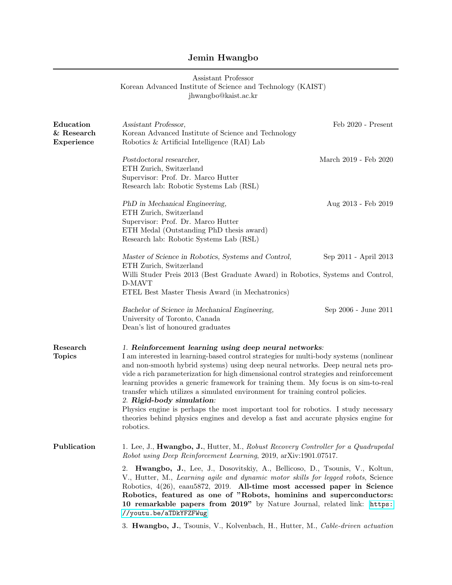## Jemin Hwangbo

| Assistant Professor<br>Korean Advanced Institute of Science and Technology (KAIST)<br>jhwangbo@kaist.ac.kr |                                                                                                                                                                                                                                                                                                                                                                                                                                                                                                                                                                                                                                                                                                                             |                       |
|------------------------------------------------------------------------------------------------------------|-----------------------------------------------------------------------------------------------------------------------------------------------------------------------------------------------------------------------------------------------------------------------------------------------------------------------------------------------------------------------------------------------------------------------------------------------------------------------------------------------------------------------------------------------------------------------------------------------------------------------------------------------------------------------------------------------------------------------------|-----------------------|
| Education<br>$&$ Research<br>Experience                                                                    | Assistant Professor,<br>Korean Advanced Institute of Science and Technology<br>Robotics & Artificial Intelligence (RAI) Lab                                                                                                                                                                                                                                                                                                                                                                                                                                                                                                                                                                                                 | Feb 2020 - Present    |
|                                                                                                            | Postdoctoral researcher,<br>ETH Zurich, Switzerland<br>Supervisor: Prof. Dr. Marco Hutter<br>Research lab: Robotic Systems Lab (RSL)                                                                                                                                                                                                                                                                                                                                                                                                                                                                                                                                                                                        | March 2019 - Feb 2020 |
|                                                                                                            | PhD in Mechanical Engineering,<br>ETH Zurich, Switzerland<br>Supervisor: Prof. Dr. Marco Hutter<br>ETH Medal (Outstanding PhD thesis award)<br>Research lab: Robotic Systems Lab (RSL)                                                                                                                                                                                                                                                                                                                                                                                                                                                                                                                                      | Aug 2013 - Feb 2019   |
|                                                                                                            | Master of Science in Robotics, Systems and Control,<br>ETH Zurich, Switzerland<br>Willi Studer Preis 2013 (Best Graduate Award) in Robotics, Systems and Control,<br>D-MAVT<br>ETEL Best Master Thesis Award (in Mechatronics)                                                                                                                                                                                                                                                                                                                                                                                                                                                                                              | Sep 2011 - April 2013 |
|                                                                                                            | Bachelor of Science in Mechanical Engineering,<br>University of Toronto, Canada<br>Dean's list of honoured graduates                                                                                                                                                                                                                                                                                                                                                                                                                                                                                                                                                                                                        | Sep 2006 - June 2011  |
| Research<br><b>Topics</b>                                                                                  | 1. Reinforcement learning using deep neural networks:<br>I am interested in learning-based control strategies for multi-body systems (nonlinear<br>and non-smooth hybrid systems) using deep neural networks. Deep neural nets pro-<br>vide a rich parameterization for high dimensional control strategies and reinforcement<br>learning provides a generic framework for training them. My focus is on sim-to-real<br>transfer which utilizes a simulated environment for training control policies.<br>2. Rigid-body simulation:<br>Physics engine is perhaps the most important tool for robotics. I study necessary<br>theories behind physics engines and develop a fast and accurate physics engine for<br>robotics. |                       |
| Publication                                                                                                | 1. Lee, J., Hwangbo, J., Hutter, M., Robust Recovery Controller for a Quadrupedal<br>Robot using Deep Reinforcement Learning, 2019, arXiv:1901.07517.                                                                                                                                                                                                                                                                                                                                                                                                                                                                                                                                                                       |                       |
|                                                                                                            | 2. Hwangbo, J., Lee, J., Dosovitskiy, A., Bellicoso, D., Tsounis, V., Koltun,<br>V., Hutter, M., Learning agile and dynamic motor skills for legged robots, Science<br>Robotics, 4(26), eaau5872, 2019. All-time most accessed paper in Science<br>Robotics, featured as one of "Robots, hominins and superconductors:<br>10 remarkable papers from 2019" by Nature Journal, related link: https:<br>//youtu.be/aTDkYFZFWug                                                                                                                                                                                                                                                                                                 |                       |
|                                                                                                            | 3. Hwangbo, J., Tsounis, V., Kolvenbach, H., Hutter, M., Cable-driven actuation                                                                                                                                                                                                                                                                                                                                                                                                                                                                                                                                                                                                                                             |                       |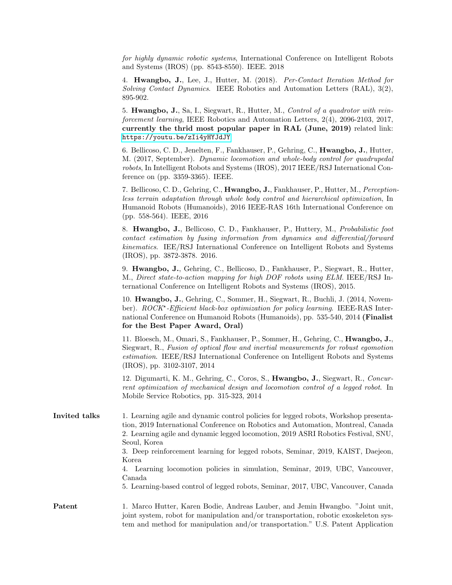for highly dynamic robotic systems, International Conference on Intelligent Robots and Systems (IROS) (pp. 8543-8550). IEEE. 2018

4. Hwangbo, J., Lee, J., Hutter, M. (2018). Per-Contact Iteration Method for Solving Contact Dynamics. IEEE Robotics and Automation Letters (RAL), 3(2), 895-902.

5. Hwangbo, J., Sa, I., Siegwart, R., Hutter, M., Control of a quadrotor with reinforcement learning, IEEE Robotics and Automation Letters, 2(4), 2096-2103, 2017, currently the thrid most popular paper in RAL (June, 2019) related link: <https://youtu.be/zIi4yHYJdJY>

6. Bellicoso, C. D., Jenelten, F., Fankhauser, P., Gehring, C., Hwangbo, J., Hutter, M. (2017, September). Dynamic locomotion and whole-body control for quadrupedal robots, In Intelligent Robots and Systems (IROS), 2017 IEEE/RSJ International Conference on (pp. 3359-3365). IEEE.

7. Bellicoso, C. D., Gehring, C., Hwangbo, J., Fankhauser, P., Hutter, M., Perceptionless terrain adaptation through whole body control and hierarchical optimization, In Humanoid Robots (Humanoids), 2016 IEEE-RAS 16th International Conference on (pp. 558-564). IEEE, 2016

8. Hwangbo, J., Bellicoso, C. D., Fankhauser, P., Huttery, M., Probabilistic foot contact estimation by fusing information from dynamics and differential/forward kinematics. IEE/RSJ International Conference on Intelligent Robots and Systems (IROS), pp. 3872-3878. 2016.

9. Hwangbo, J., Gehring, C., Bellicoso, D., Fankhauser, P., Siegwart, R., Hutter, M., Direct state-to-action mapping for high DOF robots using ELM. IEEE/RSJ International Conference on Intelligent Robots and Systems (IROS), 2015.

10. Hwangbo, J., Gehring, C., Sommer, H., Siegwart, R., Buchli, J. (2014, November). ROCK\*-Efficient black-box optimization for policy learning. IEEE-RAS International Conference on Humanoid Robots (Humanoids), pp. 535-540, 2014 (Finalist for the Best Paper Award, Oral)

11. Bloesch, M., Omari, S., Fankhauser, P., Sommer, H., Gehring, C., Hwangbo, J., Siegwart, R., Fusion of optical flow and inertial measurements for robust egomotion estimation. IEEE/RSJ International Conference on Intelligent Robots and Systems (IROS), pp. 3102-3107, 2014

12. Digumarti, K. M., Gehring, C., Coros, S., Hwangbo, J., Siegwart, R., Concurrent optimization of mechanical design and locomotion control of a legged robot. In Mobile Service Robotics, pp. 315-323, 2014

Invited talks 1. Learning agile and dynamic control policies for legged robots, Workshop presentation, 2019 International Conference on Robotics and Automation, Montreal, Canada 2. Learning agile and dynamic legged locomotion, 2019 ASRI Robotics Festival, SNU, Seoul, Korea 3. Deep reinforcement learning for legged robots, Seminar, 2019, KAIST, Daejeon, Korea

4. Learning locomotion policies in simulation, Seminar, 2019, UBC, Vancouver, Canada

5. Learning-based control of legged robots, Seminar, 2017, UBC, Vancouver, Canada

Patent 1. Marco Hutter, Karen Bodie, Andreas Lauber, and Jemin Hwangbo. "Joint unit, joint system, robot for manipulation and/or transportation, robotic exoskeleton system and method for manipulation and/or transportation." U.S. Patent Application